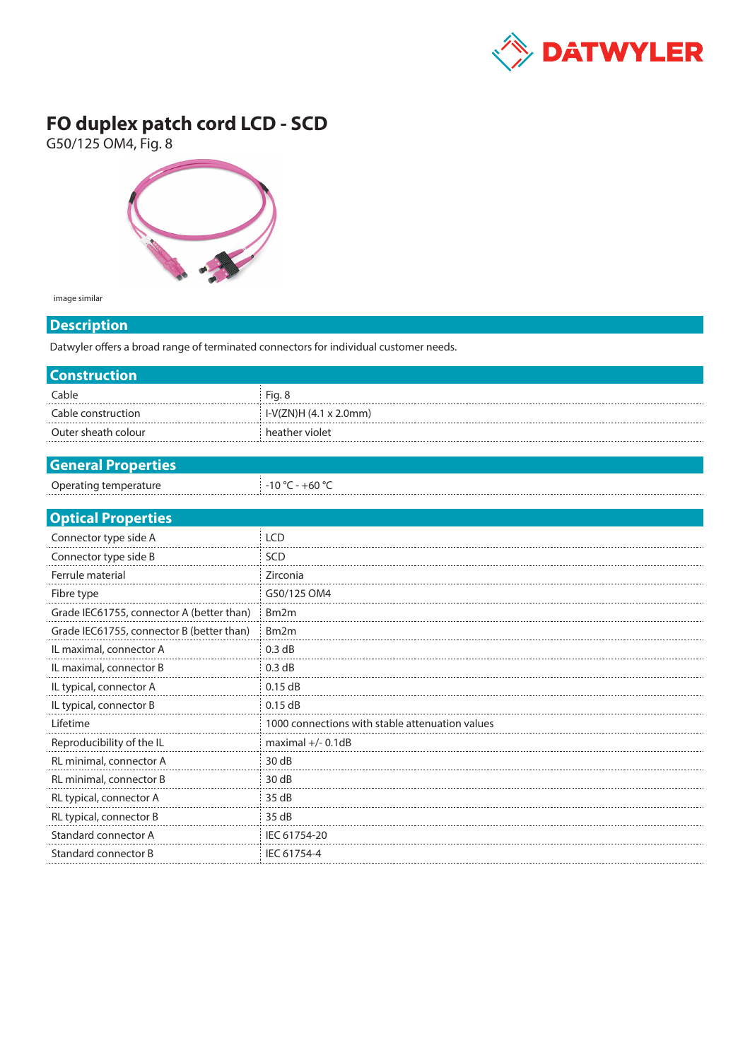

## **FO duplex patch cord LCD - SCD**

G50/125 OM4, Fig. 8



image similar

## **Description**

Datwyler offers a broad range of terminated connectors for individual customer needs.

| Cable<br>Fig. 8<br>I-V(ZN)H (4.1 x 2.0mm)<br>Cable construction<br>Outer sheath colour<br>heather violet<br><b>General Properties</b><br>Operating temperature<br>$-10 °C - +60 °C$<br><b>Optical Properties</b><br>Connector type side A<br><b>LCD</b><br>Connector type side B<br>SCD<br>Ferrule material<br>Zirconia<br>Fibre type<br>G50/125 OM4<br>Grade IEC61755, connector A (better than)<br>Bm <sub>2</sub> m<br>Grade IEC61755, connector B (better than)<br>Bm <sub>2</sub> m<br>IL maximal, connector A<br>0.3 dB<br>IL maximal, connector B<br>0.3 dB<br>IL typical, connector A<br>$0.15$ dB<br>IL typical, connector B<br>0.15dB<br>1000 connections with stable attenuation values<br>Lifetime<br>Reproducibility of the IL<br>maximal $+/- 0.1dB$<br>RL minimal, connector A<br>30dB | <b>Construction</b>     |      |  |  |  |
|-------------------------------------------------------------------------------------------------------------------------------------------------------------------------------------------------------------------------------------------------------------------------------------------------------------------------------------------------------------------------------------------------------------------------------------------------------------------------------------------------------------------------------------------------------------------------------------------------------------------------------------------------------------------------------------------------------------------------------------------------------------------------------------------------------|-------------------------|------|--|--|--|
|                                                                                                                                                                                                                                                                                                                                                                                                                                                                                                                                                                                                                                                                                                                                                                                                       |                         |      |  |  |  |
|                                                                                                                                                                                                                                                                                                                                                                                                                                                                                                                                                                                                                                                                                                                                                                                                       |                         |      |  |  |  |
|                                                                                                                                                                                                                                                                                                                                                                                                                                                                                                                                                                                                                                                                                                                                                                                                       |                         |      |  |  |  |
|                                                                                                                                                                                                                                                                                                                                                                                                                                                                                                                                                                                                                                                                                                                                                                                                       |                         |      |  |  |  |
|                                                                                                                                                                                                                                                                                                                                                                                                                                                                                                                                                                                                                                                                                                                                                                                                       |                         |      |  |  |  |
|                                                                                                                                                                                                                                                                                                                                                                                                                                                                                                                                                                                                                                                                                                                                                                                                       |                         |      |  |  |  |
|                                                                                                                                                                                                                                                                                                                                                                                                                                                                                                                                                                                                                                                                                                                                                                                                       |                         |      |  |  |  |
|                                                                                                                                                                                                                                                                                                                                                                                                                                                                                                                                                                                                                                                                                                                                                                                                       |                         |      |  |  |  |
|                                                                                                                                                                                                                                                                                                                                                                                                                                                                                                                                                                                                                                                                                                                                                                                                       |                         |      |  |  |  |
|                                                                                                                                                                                                                                                                                                                                                                                                                                                                                                                                                                                                                                                                                                                                                                                                       |                         |      |  |  |  |
|                                                                                                                                                                                                                                                                                                                                                                                                                                                                                                                                                                                                                                                                                                                                                                                                       |                         |      |  |  |  |
|                                                                                                                                                                                                                                                                                                                                                                                                                                                                                                                                                                                                                                                                                                                                                                                                       |                         |      |  |  |  |
|                                                                                                                                                                                                                                                                                                                                                                                                                                                                                                                                                                                                                                                                                                                                                                                                       |                         |      |  |  |  |
|                                                                                                                                                                                                                                                                                                                                                                                                                                                                                                                                                                                                                                                                                                                                                                                                       |                         |      |  |  |  |
|                                                                                                                                                                                                                                                                                                                                                                                                                                                                                                                                                                                                                                                                                                                                                                                                       |                         |      |  |  |  |
|                                                                                                                                                                                                                                                                                                                                                                                                                                                                                                                                                                                                                                                                                                                                                                                                       |                         |      |  |  |  |
|                                                                                                                                                                                                                                                                                                                                                                                                                                                                                                                                                                                                                                                                                                                                                                                                       |                         |      |  |  |  |
|                                                                                                                                                                                                                                                                                                                                                                                                                                                                                                                                                                                                                                                                                                                                                                                                       |                         |      |  |  |  |
|                                                                                                                                                                                                                                                                                                                                                                                                                                                                                                                                                                                                                                                                                                                                                                                                       |                         |      |  |  |  |
|                                                                                                                                                                                                                                                                                                                                                                                                                                                                                                                                                                                                                                                                                                                                                                                                       |                         |      |  |  |  |
|                                                                                                                                                                                                                                                                                                                                                                                                                                                                                                                                                                                                                                                                                                                                                                                                       |                         |      |  |  |  |
|                                                                                                                                                                                                                                                                                                                                                                                                                                                                                                                                                                                                                                                                                                                                                                                                       | RL minimal, connector B | 30dB |  |  |  |
| RL typical, connector A<br>35 dB                                                                                                                                                                                                                                                                                                                                                                                                                                                                                                                                                                                                                                                                                                                                                                      |                         |      |  |  |  |
| RL typical, connector B<br>35 dB                                                                                                                                                                                                                                                                                                                                                                                                                                                                                                                                                                                                                                                                                                                                                                      |                         |      |  |  |  |
| Standard connector A<br>IEC 61754-20                                                                                                                                                                                                                                                                                                                                                                                                                                                                                                                                                                                                                                                                                                                                                                  |                         |      |  |  |  |
| Standard connector B<br>IEC 61754-4                                                                                                                                                                                                                                                                                                                                                                                                                                                                                                                                                                                                                                                                                                                                                                   |                         |      |  |  |  |